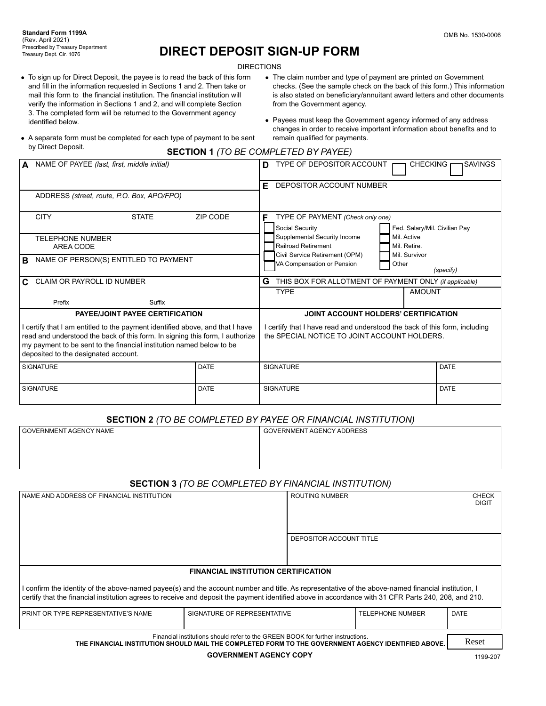# **DIRECT DEPOSIT SIGN-UP FORM**

**DIRECTIONS** 

- To sign up for Direct Deposit, the payee is to read the back of this form and fill in the information requested in Sections 1 and 2. Then take or mail this form to the financial institution. The financial institution will verify the information in Sections 1 and 2, and will complete Section 3. The completed form will be returned to the Government agency identified below.
- The claim number and type of payment are printed on Government checks. (See the sample check on the back of this form.) This information is also stated on beneficiary/annuitant award letters and other documents from the Government agency.
- Payees must keep the Government agency informed of any address changes in order to receive important information about benefits and to remain qualified for payments.
- A separate form must be completed for each type of payment to be sent by Direct Deposit.
	- **SECTION 1** *(TO BE COMPLETED BY PAYEE)*

|                                                                                                                                                               | NAME OF PAYEE (last, first, middle initial)                                                                  |             | D                                                                                                                          | TYPE OF DEPOSITOR ACCOUNT                                    |       | <b>CHECKING</b> | <b>SAVINGS</b>                |
|---------------------------------------------------------------------------------------------------------------------------------------------------------------|--------------------------------------------------------------------------------------------------------------|-------------|----------------------------------------------------------------------------------------------------------------------------|--------------------------------------------------------------|-------|-----------------|-------------------------------|
|                                                                                                                                                               |                                                                                                              |             | F                                                                                                                          | DEPOSITOR ACCOUNT NUMBER                                     |       |                 |                               |
|                                                                                                                                                               | ADDRESS (street, route, P.O. Box, APO/FPO)                                                                   |             |                                                                                                                            |                                                              |       |                 |                               |
|                                                                                                                                                               | <b>CITY</b><br><b>STATE</b>                                                                                  | ZIP CODE    | F.                                                                                                                         | TYPE OF PAYMENT (Check only one)                             |       |                 |                               |
|                                                                                                                                                               |                                                                                                              |             |                                                                                                                            | Social Security                                              |       |                 | Fed. Salary/Mil. Civilian Pay |
|                                                                                                                                                               | <b>TELEPHONE NUMBER</b>                                                                                      |             |                                                                                                                            | Supplemental Security Income                                 |       | Mil. Active     |                               |
|                                                                                                                                                               | AREA CODE                                                                                                    |             |                                                                                                                            | Railroad Retirement                                          |       | Mil. Retire.    |                               |
| B.                                                                                                                                                            | NAME OF PERSON(S) ENTITLED TO PAYMENT                                                                        |             |                                                                                                                            | Civil Service Retirement (OPM)<br>VA Compensation or Pension | Other | Mil. Survivor   |                               |
|                                                                                                                                                               |                                                                                                              |             |                                                                                                                            |                                                              |       |                 | (specify)                     |
| C.                                                                                                                                                            | CLAIM OR PAYROLL ID NUMBER                                                                                   |             | G                                                                                                                          | THIS BOX FOR ALLOTMENT OF PAYMENT ONLY (if applicable)       |       |                 |                               |
|                                                                                                                                                               |                                                                                                              |             |                                                                                                                            | <b>TYPE</b>                                                  |       | <b>AMOUNT</b>   |                               |
|                                                                                                                                                               | Prefix<br>Suffix                                                                                             |             |                                                                                                                            |                                                              |       |                 |                               |
|                                                                                                                                                               | <b>PAYEE/JOINT PAYEE CERTIFICATION</b>                                                                       |             |                                                                                                                            | JOINT ACCOUNT HOLDERS' CERTIFICATION                         |       |                 |                               |
| I certify that I am entitled to the payment identified above, and that I have<br>read and understood the back of this form. In signing this form, I authorize |                                                                                                              |             | I certify that I have read and understood the back of this form, including<br>the SPECIAL NOTICE TO JOINT ACCOUNT HOLDERS. |                                                              |       |                 |                               |
|                                                                                                                                                               | my payment to be sent to the financial institution named below to be<br>deposited to the designated account. |             |                                                                                                                            |                                                              |       |                 |                               |
|                                                                                                                                                               | <b>SIGNATURE</b>                                                                                             | <b>DATE</b> |                                                                                                                            | <b>SIGNATURE</b>                                             |       |                 | <b>DATE</b>                   |
|                                                                                                                                                               | <b>SIGNATURE</b>                                                                                             | <b>DATE</b> |                                                                                                                            | <b>SIGNATURE</b>                                             |       |                 | <b>DATE</b>                   |

## **SECTION 2** *(TO BE COMPLETED BY PAYEE OR FINANCIAL INSTITUTION)*

| GOVERNMENT AGENCY NAME | <b>GOVERNMENT AGENCY ADDRESS</b> |
|------------------------|----------------------------------|
|                        |                                  |
|                        |                                  |
|                        |                                  |

# **SECTION 3** *(TO BE COMPLETED BY FINANCIAL INSTITUTION)*

| NAME AND ADDRESS OF FINANCIAL INSTITUTION                                                                                                                                                                                                                                                                  | <b>ROUTING NUMBER</b>                      | <b>CHECK</b><br><b>DIGIT</b> |  |  |  |  |
|------------------------------------------------------------------------------------------------------------------------------------------------------------------------------------------------------------------------------------------------------------------------------------------------------------|--------------------------------------------|------------------------------|--|--|--|--|
|                                                                                                                                                                                                                                                                                                            | DEPOSITOR ACCOUNT TITLE                    |                              |  |  |  |  |
|                                                                                                                                                                                                                                                                                                            | <b>FINANCIAL INSTITUTION CERTIFICATION</b> |                              |  |  |  |  |
| I confirm the identity of the above-named payee(s) and the account number and title. As representative of the above-named financial institution, I<br>certify that the financial institution agrees to receive and deposit the payment identified above in accordance with 31 CFR Parts 240, 208, and 210. |                                            |                              |  |  |  |  |
| <b>DATE</b><br>SIGNATURE OF REPRESENTATIVE<br><b>TELEPHONE NUMBER</b><br>PRINT OR TYPE REPRESENTATIVE'S NAME                                                                                                                                                                                               |                                            |                              |  |  |  |  |
| Financial institutions should refer to the GREEN BOOK for further instructions.<br>THE FINANCIAL INSTITUTION SHOULD MAIL THE COMPLETED FORM TO THE GOVERNMENT AGENCY IDENTIFIED ABOVE.                                                                                                                     |                                            |                              |  |  |  |  |

**GOVERNMENT AGENCY COPY**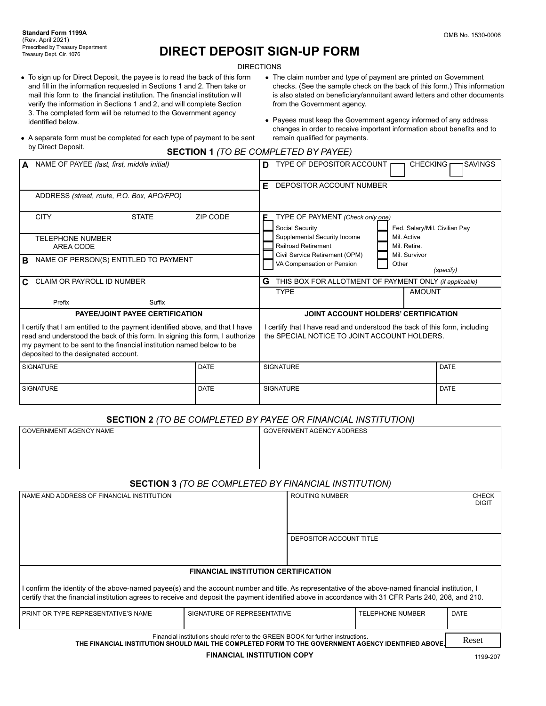# **DIRECT DEPOSIT SIGN-UP FORM**

**DIRECTIONS** 

- To sign up for Direct Deposit, the payee is to read the back of this form and fill in the information requested in Sections 1 and 2. Then take or mail this form to the financial institution. The financial institution will verify the information in Sections 1 and 2, and will complete Section 3. The completed form will be returned to the Government agency identified below.
- The claim number and type of payment are printed on Government checks. (See the sample check on the back of this form.) This information is also stated on beneficiary/annuitant award letters and other documents from the Government agency.
- Payees must keep the Government agency informed of any address changes in order to receive important information about benefits and to remain qualified for payments.
- A separate form must be completed for each type of payment to be sent by Direct Deposit.
	- **SECTION 1** *(TO BE COMPLETED BY PAYEE)*

|    | NAME OF PAYEE (last, first, middle initial)                                                                                                                 |                                        |                 | TYPE OF DEPOSITOR ACCOUNT<br><b>ISAVINGS</b><br><b>CHECKING</b><br>D                                                       |  |  |  |
|----|-------------------------------------------------------------------------------------------------------------------------------------------------------------|----------------------------------------|-----------------|----------------------------------------------------------------------------------------------------------------------------|--|--|--|
|    |                                                                                                                                                             |                                        |                 | DEPOSITOR ACCOUNT NUMBER<br>F                                                                                              |  |  |  |
|    | ADDRESS (street, route, P.O. Box, APO/FPO)                                                                                                                  |                                        |                 |                                                                                                                            |  |  |  |
|    | <b>CITY</b>                                                                                                                                                 | <b>STATE</b>                           | <b>ZIP CODE</b> | TYPE OF PAYMENT (Check only one)<br>F                                                                                      |  |  |  |
|    |                                                                                                                                                             |                                        |                 | Social Security<br>Fed. Salary/Mil. Civilian Pay<br>Mil. Active                                                            |  |  |  |
|    | <b>TELEPHONE NUMBER</b><br>AREA CODE                                                                                                                        |                                        |                 | Supplemental Security Income<br>Railroad Retirement<br>Mil. Retire.                                                        |  |  |  |
|    |                                                                                                                                                             |                                        |                 | Civil Service Retirement (OPM)<br>Mil. Survivor                                                                            |  |  |  |
| B. | NAME OF PERSON(S) ENTITLED TO PAYMENT                                                                                                                       |                                        |                 | VA Compensation or Pension<br>Other                                                                                        |  |  |  |
|    |                                                                                                                                                             |                                        |                 | (specify)                                                                                                                  |  |  |  |
| C. | CLAIM OR PAYROLL ID NUMBER                                                                                                                                  |                                        |                 | G<br>THIS BOX FOR ALLOTMENT OF PAYMENT ONLY (if applicable)                                                                |  |  |  |
|    |                                                                                                                                                             |                                        |                 | <b>AMOUNT</b><br><b>TYPE</b>                                                                                               |  |  |  |
|    | Prefix                                                                                                                                                      | Suffix                                 |                 |                                                                                                                            |  |  |  |
|    |                                                                                                                                                             | <b>PAYEE/JOINT PAYEE CERTIFICATION</b> |                 | <b>JOINT ACCOUNT HOLDERS' CERTIFICATION</b>                                                                                |  |  |  |
|    | certify that I am entitled to the payment identified above, and that I have<br>read and understood the back of this form. In signing this form, I authorize |                                        |                 | I certify that I have read and understood the back of this form, including<br>the SPECIAL NOTICE TO JOINT ACCOUNT HOLDERS. |  |  |  |
|    | my payment to be sent to the financial institution named below to be<br>deposited to the designated account.                                                |                                        |                 |                                                                                                                            |  |  |  |
|    | <b>SIGNATURE</b>                                                                                                                                            |                                        | <b>DATE</b>     | <b>SIGNATURE</b><br><b>DATE</b>                                                                                            |  |  |  |
|    | <b>SIGNATURE</b>                                                                                                                                            |                                        | <b>DATE</b>     | <b>DATE</b><br><b>SIGNATURE</b>                                                                                            |  |  |  |

## **SECTION 2** *(TO BE COMPLETED BY PAYEE OR FINANCIAL INSTITUTION)*

| GOVERNMENT AGENCY NAME | <b>GOVERNMENT AGENCY ADDRESS</b> |
|------------------------|----------------------------------|
|                        |                                  |
|                        |                                  |
|                        |                                  |

# **SECTION 3** *(TO BE COMPLETED BY FINANCIAL INSTITUTION)*

| NAME AND ADDRESS OF FINANCIAL INSTITUTION                                                                                                                                                                                                                                                                  | <b>ROUTING NUMBER</b>                      | <b>CHECK</b><br><b>DIGIT</b> |  |  |  |  |
|------------------------------------------------------------------------------------------------------------------------------------------------------------------------------------------------------------------------------------------------------------------------------------------------------------|--------------------------------------------|------------------------------|--|--|--|--|
| DEPOSITOR ACCOUNT TITLE                                                                                                                                                                                                                                                                                    |                                            |                              |  |  |  |  |
|                                                                                                                                                                                                                                                                                                            | <b>FINANCIAL INSTITUTION CERTIFICATION</b> |                              |  |  |  |  |
| I confirm the identity of the above-named payee(s) and the account number and title. As representative of the above-named financial institution, I<br>certify that the financial institution agrees to receive and deposit the payment identified above in accordance with 31 CFR Parts 240, 208, and 210. |                                            |                              |  |  |  |  |
| <b>TELEPHONE NUMBER</b><br><b>DATE</b><br>PRINT OR TYPE REPRESENTATIVE'S NAME<br>SIGNATURE OF REPRESENTATIVE                                                                                                                                                                                               |                                            |                              |  |  |  |  |
| Financial institutions should refer to the GREEN BOOK for further instructions.<br>THE FINANCIAL INSTITUTION SHOULD MAIL THE COMPLETED FORM TO THE GOVERNMENT AGENCY IDENTIFIED ABOVE.                                                                                                                     |                                            |                              |  |  |  |  |

#### **FINANCIAL INSTITUTION COPY**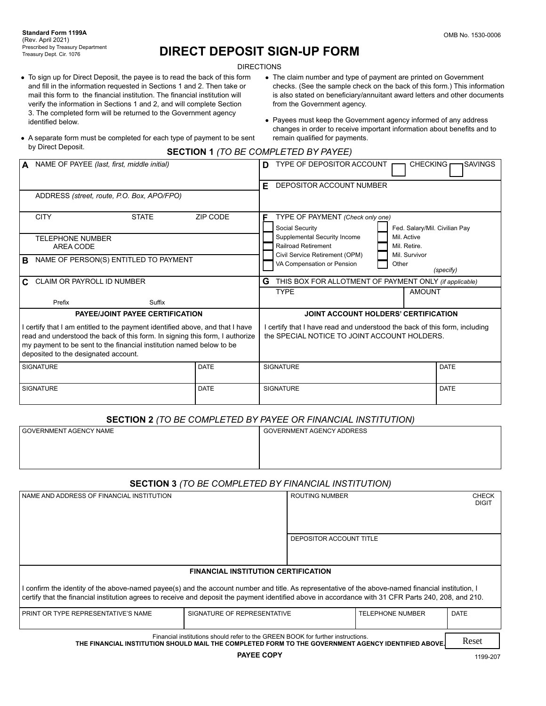# **DIRECT DEPOSIT SIGN-UP FORM**

**DIRECTIONS** 

- To sign up for Direct Deposit, the payee is to read the back of this form and fill in the information requested in Sections 1 and 2. Then take or mail this form to the financial institution. The financial institution will verify the information in Sections 1 and 2, and will complete Section 3. The completed form will be returned to the Government agency identified below.
- The claim number and type of payment are printed on Government checks. (See the sample check on the back of this form.) This information is also stated on beneficiary/annuitant award letters and other documents from the Government agency.
- Payees must keep the Government agency informed of any address changes in order to receive important information about benefits and to remain qualified for payments.
- A separate form must be completed for each type of payment to be sent by Direct Deposit.

|  | <b>SECTION 1 (TO BE COMPLETED BY PAYEE)</b> |  |
|--|---------------------------------------------|--|
|--|---------------------------------------------|--|

|    | NAME OF PAYEE (last, first, middle initial)                                   |                                        |             | D                                                                          | TYPE OF DEPOSITOR ACCOUNT                              |  | <b>CHECKING</b>                              | <b>ISAVINGS</b> |
|----|-------------------------------------------------------------------------------|----------------------------------------|-------------|----------------------------------------------------------------------------|--------------------------------------------------------|--|----------------------------------------------|-----------------|
|    |                                                                               |                                        |             | F.                                                                         | DEPOSITOR ACCOUNT NUMBER                               |  |                                              |                 |
|    | ADDRESS (street, route, P.O. Box, APO/FPO)                                    |                                        |             |                                                                            |                                                        |  |                                              |                 |
|    | <b>CITY</b>                                                                   | <b>STATE</b>                           | ZIP CODE    | F                                                                          | TYPE OF PAYMENT (Check only one)                       |  |                                              |                 |
|    |                                                                               |                                        |             |                                                                            | Social Security                                        |  | Fed. Salary/Mil. Civilian Pay<br>Mil. Active |                 |
|    | <b>TELEPHONE NUMBER</b>                                                       |                                        |             |                                                                            | Supplemental Security Income<br>Railroad Retirement    |  | Mil. Retire.                                 |                 |
|    | AREA CODE                                                                     |                                        |             |                                                                            | Civil Service Retirement (OPM)                         |  | Mil. Survivor                                |                 |
| в  | NAME OF PERSON(S) ENTITLED TO PAYMENT                                         |                                        |             |                                                                            | VA Compensation or Pension                             |  | Other                                        |                 |
|    |                                                                               |                                        |             |                                                                            |                                                        |  |                                              | (specify)       |
| C. | CLAIM OR PAYROLL ID NUMBER                                                    |                                        |             | G                                                                          | THIS BOX FOR ALLOTMENT OF PAYMENT ONLY (if applicable) |  |                                              |                 |
|    |                                                                               |                                        |             |                                                                            | <b>TYPE</b>                                            |  | <b>AMOUNT</b>                                |                 |
|    | Prefix                                                                        | Suffix                                 |             |                                                                            |                                                        |  |                                              |                 |
|    |                                                                               | <b>PAYEE/JOINT PAYEE CERTIFICATION</b> |             | JOINT ACCOUNT HOLDERS' CERTIFICATION                                       |                                                        |  |                                              |                 |
|    | I certify that I am entitled to the payment identified above, and that I have |                                        |             | I certify that I have read and understood the back of this form, including |                                                        |  |                                              |                 |
|    | read and understood the back of this form. In signing this form, I authorize  |                                        |             | the SPECIAL NOTICE TO JOINT ACCOUNT HOLDERS.                               |                                                        |  |                                              |                 |
|    | my payment to be sent to the financial institution named below to be          |                                        |             |                                                                            |                                                        |  |                                              |                 |
|    | deposited to the designated account.                                          |                                        |             |                                                                            |                                                        |  |                                              |                 |
|    | <b>SIGNATURE</b>                                                              |                                        | <b>DATE</b> |                                                                            | <b>SIGNATURE</b>                                       |  |                                              | DATE            |
|    |                                                                               |                                        |             |                                                                            |                                                        |  |                                              |                 |
|    | <b>SIGNATURE</b>                                                              |                                        | <b>DATE</b> |                                                                            | <b>SIGNATURE</b>                                       |  |                                              | <b>DATE</b>     |
|    |                                                                               |                                        |             |                                                                            |                                                        |  |                                              |                 |

## **SECTION 2** *(TO BE COMPLETED BY PAYEE OR FINANCIAL INSTITUTION)*

| GOVERNMENT AGENCY NAME | GOVERNMENT AGENCY ADDRESS |
|------------------------|---------------------------|
|                        |                           |
|                        |                           |
|                        |                           |

# **SECTION 3** *(TO BE COMPLETED BY FINANCIAL INSTITUTION)*

| NAME AND ADDRESS OF FINANCIAL INSTITUTION                                                                                                                                                                                                                                                                  | <b>ROUTING NUMBER</b>                      | <b>CHECK</b><br><b>DIGIT</b> |  |  |  |  |
|------------------------------------------------------------------------------------------------------------------------------------------------------------------------------------------------------------------------------------------------------------------------------------------------------------|--------------------------------------------|------------------------------|--|--|--|--|
| DEPOSITOR ACCOUNT TITLE                                                                                                                                                                                                                                                                                    |                                            |                              |  |  |  |  |
|                                                                                                                                                                                                                                                                                                            | <b>FINANCIAL INSTITUTION CERTIFICATION</b> |                              |  |  |  |  |
| I confirm the identity of the above-named payee(s) and the account number and title. As representative of the above-named financial institution, I<br>certify that the financial institution agrees to receive and deposit the payment identified above in accordance with 31 CFR Parts 240, 208, and 210. |                                            |                              |  |  |  |  |
| <b>TELEPHONE NUMBER</b><br><b>DATE</b><br>PRINT OR TYPE REPRESENTATIVE'S NAME<br>SIGNATURE OF REPRESENTATIVE                                                                                                                                                                                               |                                            |                              |  |  |  |  |
| Financial institutions should refer to the GREEN BOOK for further instructions.<br>THE FINANCIAL INSTITUTION SHOULD MAIL THE COMPLETED FORM TO THE GOVERNMENT AGENCY IDENTIFIED ABOVE.                                                                                                                     |                                            |                              |  |  |  |  |